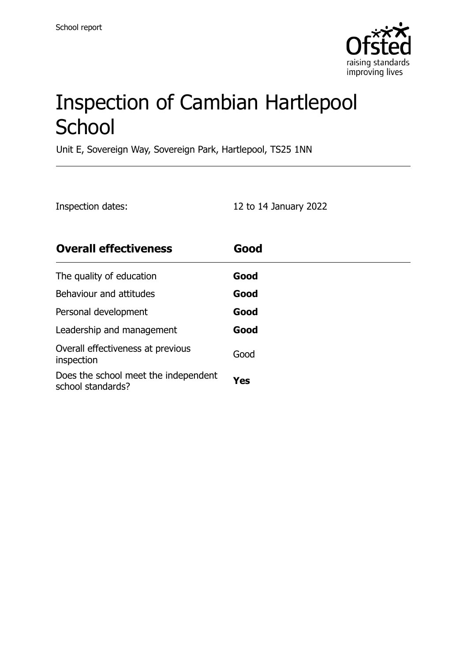

# Inspection of Cambian Hartlepool **School**

Unit E, Sovereign Way, Sovereign Park, Hartlepool, TS25 1NN

| Inspection dates: | 12 to 14 January 2022 |
|-------------------|-----------------------|
|-------------------|-----------------------|

| <b>Overall effectiveness</b>                              | Good |
|-----------------------------------------------------------|------|
| The quality of education                                  | Good |
| Behaviour and attitudes                                   | Good |
| Personal development                                      | Good |
| Leadership and management                                 | Good |
| Overall effectiveness at previous<br>inspection           | Good |
| Does the school meet the independent<br>school standards? | Yes  |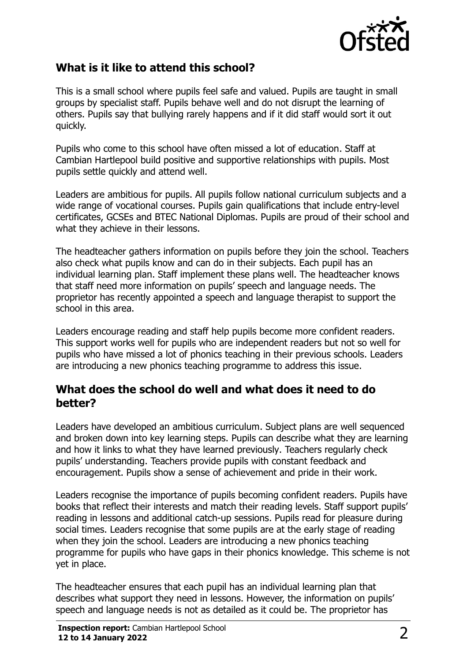

#### **What is it like to attend this school?**

This is a small school where pupils feel safe and valued. Pupils are taught in small groups by specialist staff. Pupils behave well and do not disrupt the learning of others. Pupils say that bullying rarely happens and if it did staff would sort it out quickly.

Pupils who come to this school have often missed a lot of education. Staff at Cambian Hartlepool build positive and supportive relationships with pupils. Most pupils settle quickly and attend well.

Leaders are ambitious for pupils. All pupils follow national curriculum subjects and a wide range of vocational courses. Pupils gain qualifications that include entry-level certificates, GCSEs and BTEC National Diplomas. Pupils are proud of their school and what they achieve in their lessons.

The headteacher gathers information on pupils before they join the school. Teachers also check what pupils know and can do in their subjects. Each pupil has an individual learning plan. Staff implement these plans well. The headteacher knows that staff need more information on pupils' speech and language needs. The proprietor has recently appointed a speech and language therapist to support the school in this area.

Leaders encourage reading and staff help pupils become more confident readers. This support works well for pupils who are independent readers but not so well for pupils who have missed a lot of phonics teaching in their previous schools. Leaders are introducing a new phonics teaching programme to address this issue.

#### **What does the school do well and what does it need to do better?**

Leaders have developed an ambitious curriculum. Subject plans are well sequenced and broken down into key learning steps. Pupils can describe what they are learning and how it links to what they have learned previously. Teachers regularly check pupils' understanding. Teachers provide pupils with constant feedback and encouragement. Pupils show a sense of achievement and pride in their work.

Leaders recognise the importance of pupils becoming confident readers. Pupils have books that reflect their interests and match their reading levels. Staff support pupils' reading in lessons and additional catch-up sessions. Pupils read for pleasure during social times. Leaders recognise that some pupils are at the early stage of reading when they join the school. Leaders are introducing a new phonics teaching programme for pupils who have gaps in their phonics knowledge. This scheme is not yet in place.

The headteacher ensures that each pupil has an individual learning plan that describes what support they need in lessons. However, the information on pupils' speech and language needs is not as detailed as it could be. The proprietor has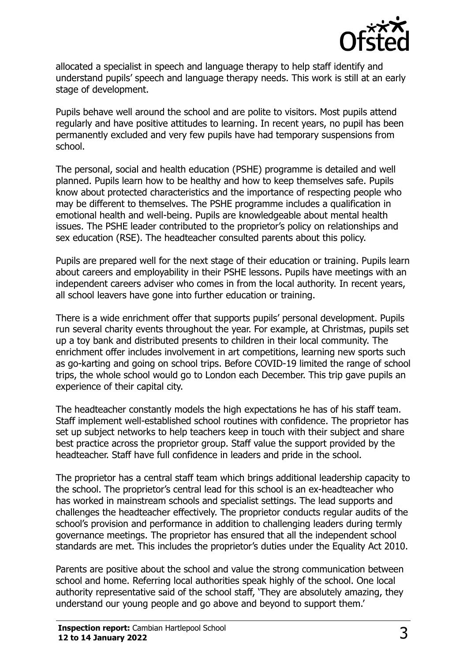

allocated a specialist in speech and language therapy to help staff identify and understand pupils' speech and language therapy needs. This work is still at an early stage of development.

Pupils behave well around the school and are polite to visitors. Most pupils attend regularly and have positive attitudes to learning. In recent years, no pupil has been permanently excluded and very few pupils have had temporary suspensions from school.

The personal, social and health education (PSHE) programme is detailed and well planned. Pupils learn how to be healthy and how to keep themselves safe. Pupils know about protected characteristics and the importance of respecting people who may be different to themselves. The PSHE programme includes a qualification in emotional health and well-being. Pupils are knowledgeable about mental health issues. The PSHE leader contributed to the proprietor's policy on relationships and sex education (RSE). The headteacher consulted parents about this policy.

Pupils are prepared well for the next stage of their education or training. Pupils learn about careers and employability in their PSHE lessons. Pupils have meetings with an independent careers adviser who comes in from the local authority. In recent years, all school leavers have gone into further education or training.

There is a wide enrichment offer that supports pupils' personal development. Pupils run several charity events throughout the year. For example, at Christmas, pupils set up a toy bank and distributed presents to children in their local community. The enrichment offer includes involvement in art competitions, learning new sports such as go-karting and going on school trips. Before COVID-19 limited the range of school trips, the whole school would go to London each December. This trip gave pupils an experience of their capital city.

The headteacher constantly models the high expectations he has of his staff team. Staff implement well-established school routines with confidence. The proprietor has set up subject networks to help teachers keep in touch with their subject and share best practice across the proprietor group. Staff value the support provided by the headteacher. Staff have full confidence in leaders and pride in the school.

The proprietor has a central staff team which brings additional leadership capacity to the school. The proprietor's central lead for this school is an ex-headteacher who has worked in mainstream schools and specialist settings. The lead supports and challenges the headteacher effectively. The proprietor conducts regular audits of the school's provision and performance in addition to challenging leaders during termly governance meetings. The proprietor has ensured that all the independent school standards are met. This includes the proprietor's duties under the Equality Act 2010.

Parents are positive about the school and value the strong communication between school and home. Referring local authorities speak highly of the school. One local authority representative said of the school staff, 'They are absolutely amazing, they understand our young people and go above and beyond to support them.'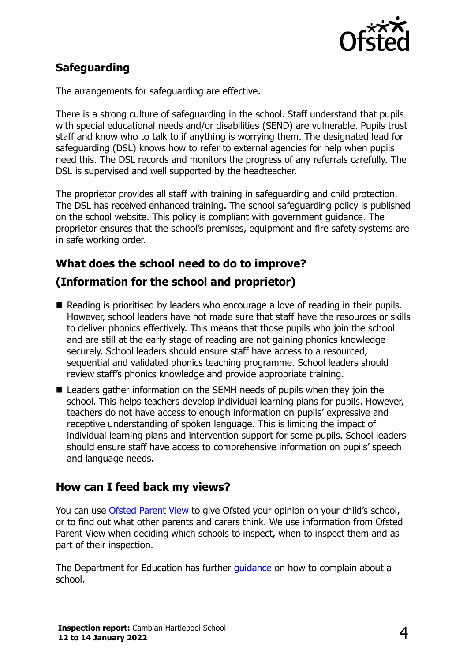

## **Safeguarding**

The arrangements for safeguarding are effective.

There is a strong culture of safeguarding in the school. Staff understand that pupils with special educational needs and/or disabilities (SEND) are vulnerable. Pupils trust staff and know who to talk to if anything is worrying them. The designated lead for safeguarding (DSL) knows how to refer to external agencies for help when pupils need this. The DSL records and monitors the progress of any referrals carefully. The DSL is supervised and well supported by the headteacher.

The proprietor provides all staff with training in safeguarding and child protection. The DSL has received enhanced training. The school safeguarding policy is published on the school website. This policy is compliant with government guidance. The proprietor ensures that the school's premises, equipment and fire safety systems are in safe working order.

#### **What does the school need to do to improve?**

### **(Information for the school and proprietor)**

- Reading is prioritised by leaders who encourage a love of reading in their pupils. However, school leaders have not made sure that staff have the resources or skills to deliver phonics effectively. This means that those pupils who join the school and are still at the early stage of reading are not gaining phonics knowledge securely. School leaders should ensure staff have access to a resourced, sequential and validated phonics teaching programme. School leaders should review staff's phonics knowledge and provide appropriate training.
- Leaders gather information on the SEMH needs of pupils when they join the school. This helps teachers develop individual learning plans for pupils. However, teachers do not have access to enough information on pupils' expressive and receptive understanding of spoken language. This is limiting the impact of individual learning plans and intervention support for some pupils. School leaders should ensure staff have access to comprehensive information on pupils' speech and language needs.

#### **How can I feed back my views?**

You can use [Ofsted Parent View](http://parentview.ofsted.gov.uk/) to give Ofsted your opinion on your child's school, or to find out what other parents and carers think. We use information from Ofsted Parent View when deciding which schools to inspect, when to inspect them and as part of their inspection.

The Department for Education has further quidance on how to complain about a school.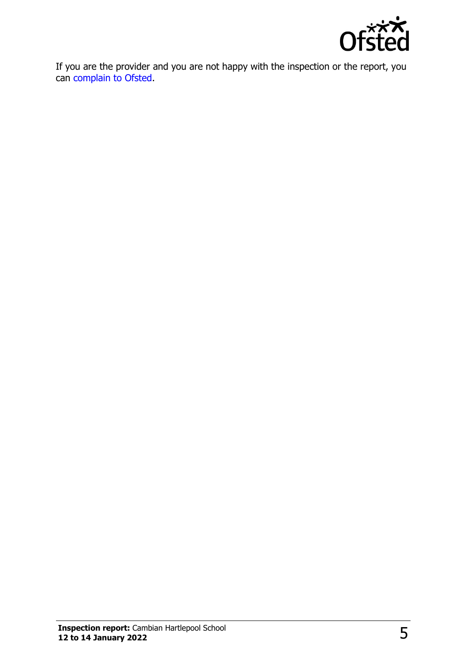

If you are the provider and you are not happy with the inspection or the report, you can [complain to Ofsted.](http://www.gov.uk/complain-ofsted-report)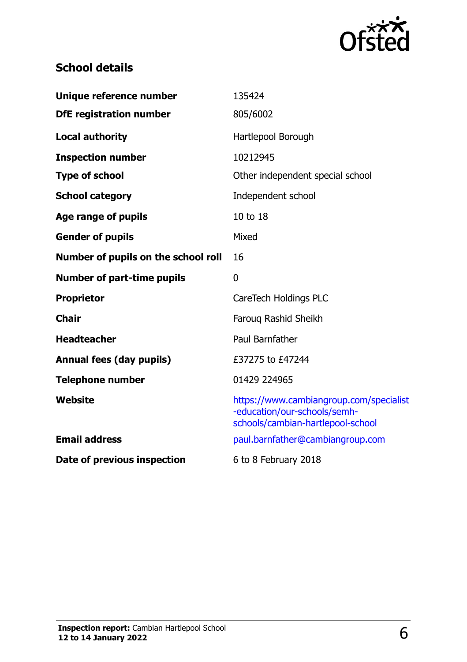

# **School details**

| Unique reference number             | 135424                                                                                                       |
|-------------------------------------|--------------------------------------------------------------------------------------------------------------|
| <b>DfE registration number</b>      | 805/6002                                                                                                     |
| <b>Local authority</b>              | Hartlepool Borough                                                                                           |
| <b>Inspection number</b>            | 10212945                                                                                                     |
| <b>Type of school</b>               | Other independent special school                                                                             |
| <b>School category</b>              | Independent school                                                                                           |
| Age range of pupils                 | 10 to 18                                                                                                     |
| <b>Gender of pupils</b>             | Mixed                                                                                                        |
| Number of pupils on the school roll | 16                                                                                                           |
| <b>Number of part-time pupils</b>   | $\mathbf{0}$                                                                                                 |
| <b>Proprietor</b>                   | CareTech Holdings PLC                                                                                        |
| <b>Chair</b>                        | Faroug Rashid Sheikh                                                                                         |
| <b>Headteacher</b>                  | Paul Barnfather                                                                                              |
| <b>Annual fees (day pupils)</b>     | £37275 to £47244                                                                                             |
| <b>Telephone number</b>             | 01429 224965                                                                                                 |
| Website                             | https://www.cambiangroup.com/specialist<br>-education/our-schools/semh-<br>schools/cambian-hartlepool-school |
| <b>Email address</b>                | paul.barnfather@cambiangroup.com                                                                             |
| Date of previous inspection         | 6 to 8 February 2018                                                                                         |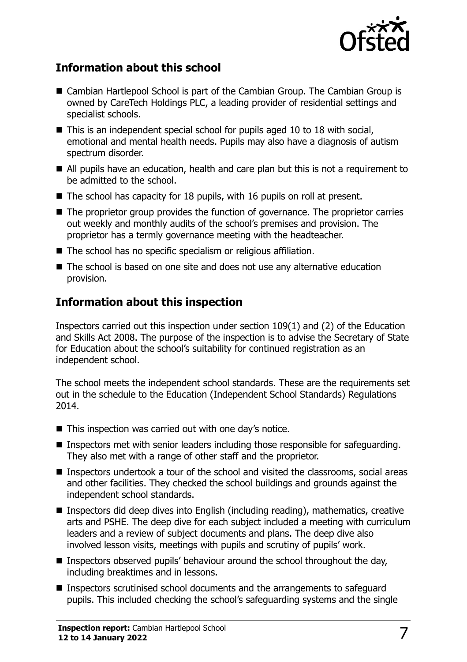

#### **Information about this school**

- Cambian Hartlepool School is part of the Cambian Group. The Cambian Group is owned by CareTech Holdings PLC, a leading provider of residential settings and specialist schools.
- This is an independent special school for pupils aged 10 to 18 with social, emotional and mental health needs. Pupils may also have a diagnosis of autism spectrum disorder.
- All pupils have an education, health and care plan but this is not a requirement to be admitted to the school.
- $\blacksquare$  The school has capacity for 18 pupils, with 16 pupils on roll at present.
- The proprietor group provides the function of governance. The proprietor carries out weekly and monthly audits of the school's premises and provision. The proprietor has a termly governance meeting with the headteacher.
- The school has no specific specialism or religious affiliation.
- The school is based on one site and does not use any alternative education provision.

### **Information about this inspection**

Inspectors carried out this inspection under section 109(1) and (2) of the Education and Skills Act 2008. The purpose of the inspection is to advise the Secretary of State for Education about the school's suitability for continued registration as an independent school.

The school meets the independent school standards. These are the requirements set out in the schedule to the Education (Independent School Standards) Regulations 2014.

- $\blacksquare$  This inspection was carried out with one day's notice.
- **Inspectors met with senior leaders including those responsible for safeguarding.** They also met with a range of other staff and the proprietor.
- Inspectors undertook a tour of the school and visited the classrooms, social areas and other facilities. They checked the school buildings and grounds against the independent school standards.
- Inspectors did deep dives into English (including reading), mathematics, creative arts and PSHE. The deep dive for each subject included a meeting with curriculum leaders and a review of subject documents and plans. The deep dive also involved lesson visits, meetings with pupils and scrutiny of pupils' work.
- Inspectors observed pupils' behaviour around the school throughout the day, including breaktimes and in lessons.
- Inspectors scrutinised school documents and the arrangements to safeguard pupils. This included checking the school's safeguarding systems and the single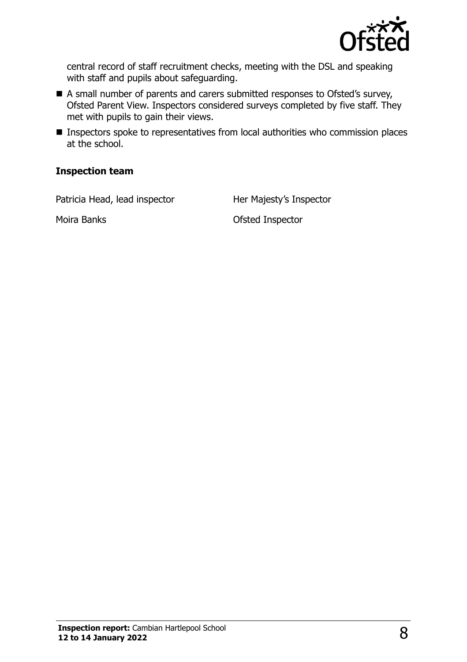

central record of staff recruitment checks, meeting with the DSL and speaking with staff and pupils about safeguarding.

- A small number of parents and carers submitted responses to Ofsted's survey, Ofsted Parent View. Inspectors considered surveys completed by five staff. They met with pupils to gain their views.
- **Inspectors spoke to representatives from local authorities who commission places** at the school.

#### **Inspection team**

Patricia Head, lead inspector **Her Majesty's Inspector** 

Moira Banks Ofsted Inspector